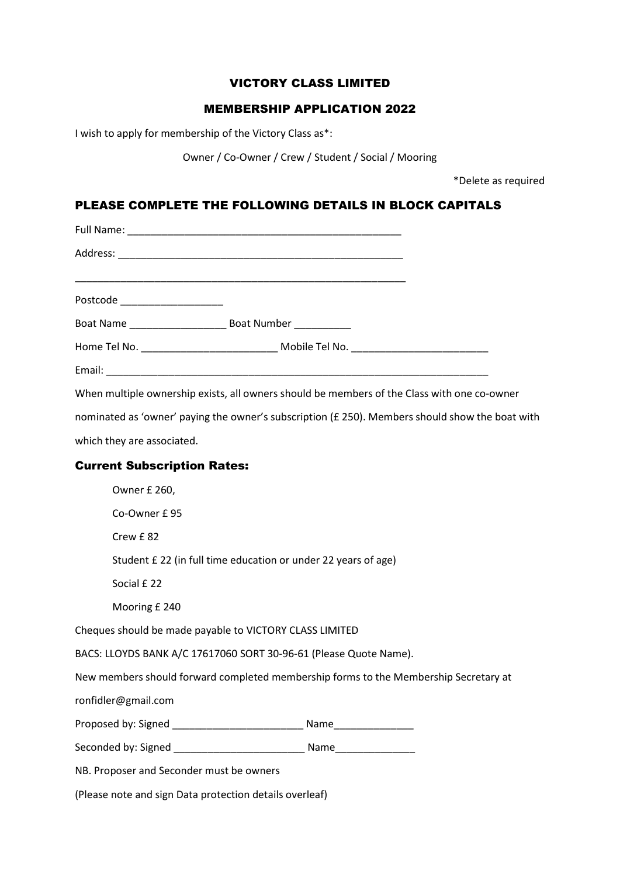### VICTORY CLASS LIMITED

## MEMBERSHIP APPLICATION 2022

I wish to apply for membership of the Victory Class as\*:

Owner / Co-Owner / Crew / Student / Social / Mooring

\*Delete as required

# PLEASE COMPLETE THE FOLLOWING DETAILS IN BLOCK CAPITALS

| Postcode _____________________ |                                                                                                 |  |
|--------------------------------|-------------------------------------------------------------------------------------------------|--|
|                                |                                                                                                 |  |
|                                |                                                                                                 |  |
|                                |                                                                                                 |  |
|                                | When multiple ownership exists, all owners should be members of the Class with one co-owner     |  |
|                                | nominated as 'owner' paying the owner's subscription (£ 250). Members should show the boat with |  |

which they are associated.

## Current Subscription Rates:

|                                                                                      | Owner £ 260,                                                  |                        |  |  |
|--------------------------------------------------------------------------------------|---------------------------------------------------------------|------------------------|--|--|
|                                                                                      | Co-Owner £95                                                  |                        |  |  |
|                                                                                      | Crew £82                                                      |                        |  |  |
|                                                                                      | Student £22 (in full time education or under 22 years of age) |                        |  |  |
|                                                                                      | Social £22                                                    |                        |  |  |
|                                                                                      | Mooring £ 240                                                 |                        |  |  |
| Cheques should be made payable to VICTORY CLASS LIMITED                              |                                                               |                        |  |  |
| BACS: LLOYDS BANK A/C 17617060 SORT 30-96-61 (Please Quote Name).                    |                                                               |                        |  |  |
| New members should forward completed membership forms to the Membership Secretary at |                                                               |                        |  |  |
|                                                                                      | ronfidler@gmail.com                                           |                        |  |  |
|                                                                                      |                                                               | Name__________________ |  |  |
|                                                                                      | Seconded by: Signed example and a Name Name                   |                        |  |  |
| NB. Proposer and Seconder must be owners                                             |                                                               |                        |  |  |
|                                                                                      |                                                               |                        |  |  |

(Please note and sign Data protection details overleaf)